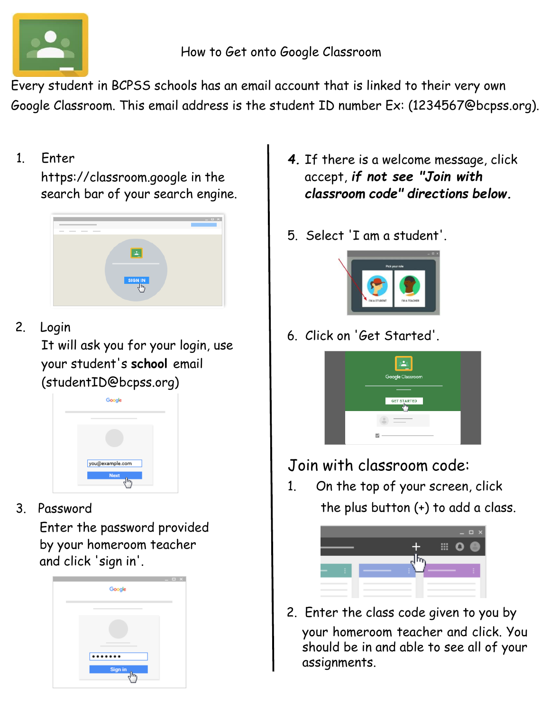

Every student in BCPSS schools has an email account that is linked to their very own Google Classroom. This email address is the student ID number Ex: (1234567@bcpss.org).

1. Enter

https://classroom.google in the search bar of your search engine.



2. Login

It will ask you for your login, use your student's **school** email (studentID@bcpss.org)



3. Password

Enter the password provided by your homeroom teacher and click 'sign in'.



- *4.* If there is a welcome message, click accept, *if not see "Join with classroom code" directions below.*
- 5. Select 'I am a student'.



6. Click on 'Get Started'.



Join with classroom code:

1. On the top of your screen, click the plus button (+) to add a class.



2. Enter the class code given to you by your homeroom teacher and click. You should be in and able to see all of your assignments.